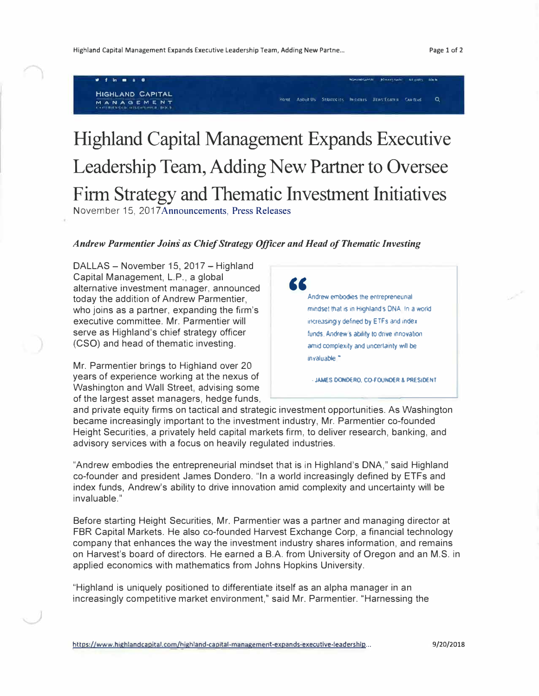• f In a • • "":.-, ... ,u.,.,,. ..,. ..., ••. ,, ... -., ,,, u1• kr.• **HIGHLAND CAPITAL**  MANAGEMENT

## **MAN A (3 EM E NT** >-1()t.1f � /l Tll, "i':.:Af,1 ,,.. 1,, fll\\i',(Ullf� '�L 1 .. , a.

## Highland Capital Management Expands Executive Leadership Team, Adding New Partner to Oversee Firm Strategy and Thematic Investment Initiatives November 15, 2017 Announcements, Press Releases

## *Andrew Parmentier Joins as Chief Strategy Officer and Head of Thematic Investing*

DALLAS - November 15, 2017 - Highland Capital Management, L.P., a global alternative investment manager, announced today the addition of Andrew Parmentier, who joins as a partner, expanding the firm's executive committee. Mr. Parmentier will serve as Highland's chief strategy officer (CSO) and head of thematic investing.

Mr. Parmentier brings to Highland over 20 years of experience working at the nexus of Washington and Wall Street, advising some of the largest asset managers, hedge funds,



- JAMES DONDERO, CO-FOUNDER & PRESIDENT

and private equity firms on tactical and strategic investment opportunities. As Washington became increasingly important to the investment industry, Mr. Parmentier co-founded Height Securities, a privately held capital markets firm, to deliver research, banking, and advisory services with a focus on heavily regulated industries.

"Andrew embodies the entrepreneurial mindset that is in Highland's DNA," said Highland co-founder and president James Dondero. "In a world increasingly defined by ETFs and index funds, Andrew's ability to drive innovation amid complexity and uncertainty will be invaluable."

Before starting Height Securities, Mr. Parmentier was a partner and managing director at FBR Capital Markets. He also co-founded Harvest Exchange Corp, a financial technology company that enhances the way the investment industry shares information, and remains on Harvest's board of directors. He earned a B.A. from University of Oregon and an M.S. in applied economics with mathematics from Johns Hopkins University.

"Highland is uniquely positioned to differentiate itself as an alpha manager in an increasingly competitive market environment," said Mr. Parmentier. "Harnessing the